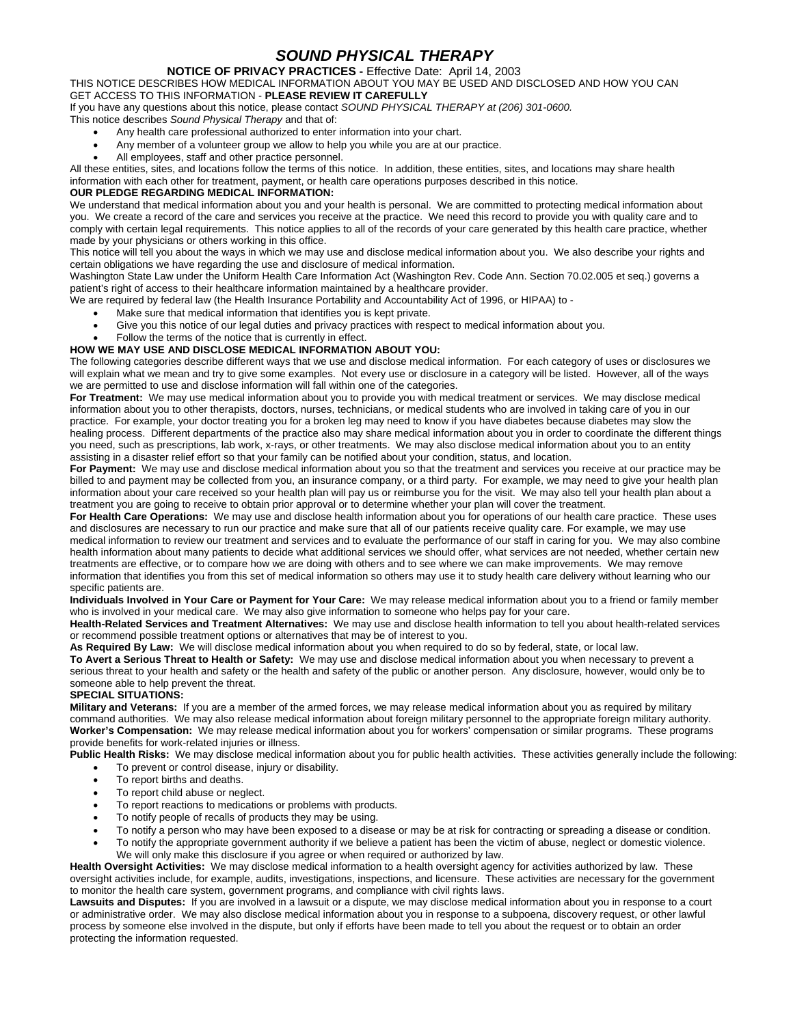# *SOUND PHYSICAL THERAPY*

## **NOTICE OF PRIVACY PRACTICES -** Effective Date: April 14, 2003

THIS NOTICE DESCRIBES HOW MEDICAL INFORMATION ABOUT YOU MAY BE USED AND DISCLOSED AND HOW YOU CAN GET ACCESS TO THIS INFORMATION - **PLEASE REVIEW IT CAREFULLY**

If you have any questions about this notice, please contact *SOUND PHYSICAL THERAPY at (206) 301-0600.*

This notice describes *Sound Physical Therapy* and that of:

- Any health care professional authorized to enter information into your chart.
- Any member of a volunteer group we allow to help you while you are at our practice.
- All employees, staff and other practice personnel.

All these entities, sites, and locations follow the terms of this notice. In addition, these entities, sites, and locations may share health information with each other for treatment, payment, or health care operations purposes described in this notice.

### **OUR PLEDGE REGARDING MEDICAL INFORMATION:**

We understand that medical information about you and your health is personal. We are committed to protecting medical information about you. We create a record of the care and services you receive at the practice. We need this record to provide you with quality care and to comply with certain legal requirements. This notice applies to all of the records of your care generated by this health care practice, whether made by your physicians or others working in this office.

This notice will tell you about the ways in which we may use and disclose medical information about you. We also describe your rights and certain obligations we have regarding the use and disclosure of medical information.

Washington State Law under the Uniform Health Care Information Act (Washington Rev. Code Ann. Section 70.02.005 et seq.) governs a patient's right of access to their healthcare information maintained by a healthcare provider.

We are required by federal law (the Health Insurance Portability and Accountability Act of 1996, or HIPAA) to -

- Make sure that medical information that identifies you is kept private.
- Give you this notice of our legal duties and privacy practices with respect to medical information about you.
- Follow the terms of the notice that is currently in effect.

### **HOW WE MAY USE AND DISCLOSE MEDICAL INFORMATION ABOUT YOU:**

The following categories describe different ways that we use and disclose medical information. For each category of uses or disclosures we will explain what we mean and try to give some examples. Not every use or disclosure in a category will be listed. However, all of the ways we are permitted to use and disclose information will fall within one of the categories.

**For Treatment:** We may use medical information about you to provide you with medical treatment or services. We may disclose medical information about you to other therapists, doctors, nurses, technicians, or medical students who are involved in taking care of you in our practice. For example, your doctor treating you for a broken leg may need to know if you have diabetes because diabetes may slow the healing process. Different departments of the practice also may share medical information about you in order to coordinate the different things you need, such as prescriptions, lab work, x-rays, or other treatments. We may also disclose medical information about you to an entity assisting in a disaster relief effort so that your family can be notified about your condition, status, and location.

**For Payment:** We may use and disclose medical information about you so that the treatment and services you receive at our practice may be billed to and payment may be collected from you, an insurance company, or a third party. For example, we may need to give your health plan information about your care received so your health plan will pay us or reimburse you for the visit. We may also tell your health plan about a treatment you are going to receive to obtain prior approval or to determine whether your plan will cover the treatment.

**For Health Care Operations:** We may use and disclose health information about you for operations of our health care practice. These uses and disclosures are necessary to run our practice and make sure that all of our patients receive quality care. For example, we may use medical information to review our treatment and services and to evaluate the performance of our staff in caring for you. We may also combine health information about many patients to decide what additional services we should offer, what services are not needed, whether certain new treatments are effective, or to compare how we are doing with others and to see where we can make improvements. We may remove information that identifies you from this set of medical information so others may use it to study health care delivery without learning who our specific patients are.

**Individuals Involved in Your Care or Payment for Your Care:** We may release medical information about you to a friend or family member who is involved in your medical care. We may also give information to someone who helps pay for your care.

**Health-Related Services and Treatment Alternatives:** We may use and disclose health information to tell you about health-related services or recommend possible treatment options or alternatives that may be of interest to you.

**As Required By Law:** We will disclose medical information about you when required to do so by federal, state, or local law.

**To Avert a Serious Threat to Health or Safety:** We may use and disclose medical information about you when necessary to prevent a serious threat to your health and safety or the health and safety of the public or another person. Any disclosure, however, would only be to someone able to help prevent the threat.

### **SPECIAL SITUATIONS:**

**Military and Veterans:** If you are a member of the armed forces, we may release medical information about you as required by military command authorities. We may also release medical information about foreign military personnel to the appropriate foreign military authority. **Worker's Compensation:** We may release medical information about you for workers' compensation or similar programs. These programs provide benefits for work-related injuries or illness.

Public Health Risks: We may disclose medical information about you for public health activities. These activities generally include the following:

- To prevent or control disease, injury or disability.
- To report births and deaths.
- To report child abuse or neglect.
- To report reactions to medications or problems with products.
- To notify people of recalls of products they may be using.
- To notify a person who may have been exposed to a disease or may be at risk for contracting or spreading a disease or condition.
- To notify the appropriate government authority if we believe a patient has been the victim of abuse, neglect or domestic violence. We will only make this disclosure if you agree or when required or authorized by law.

**Health Oversight Activities:** We may disclose medical information to a health oversight agency for activities authorized by law. These oversight activities include, for example, audits, investigations, inspections, and licensure. These activities are necessary for the government to monitor the health care system, government programs, and compliance with civil rights laws.

Lawsuits and Disputes: If you are involved in a lawsuit or a dispute, we may disclose medical information about you in response to a court or administrative order. We may also disclose medical information about you in response to a subpoena, discovery request, or other lawful process by someone else involved in the dispute, but only if efforts have been made to tell you about the request or to obtain an order protecting the information requested.